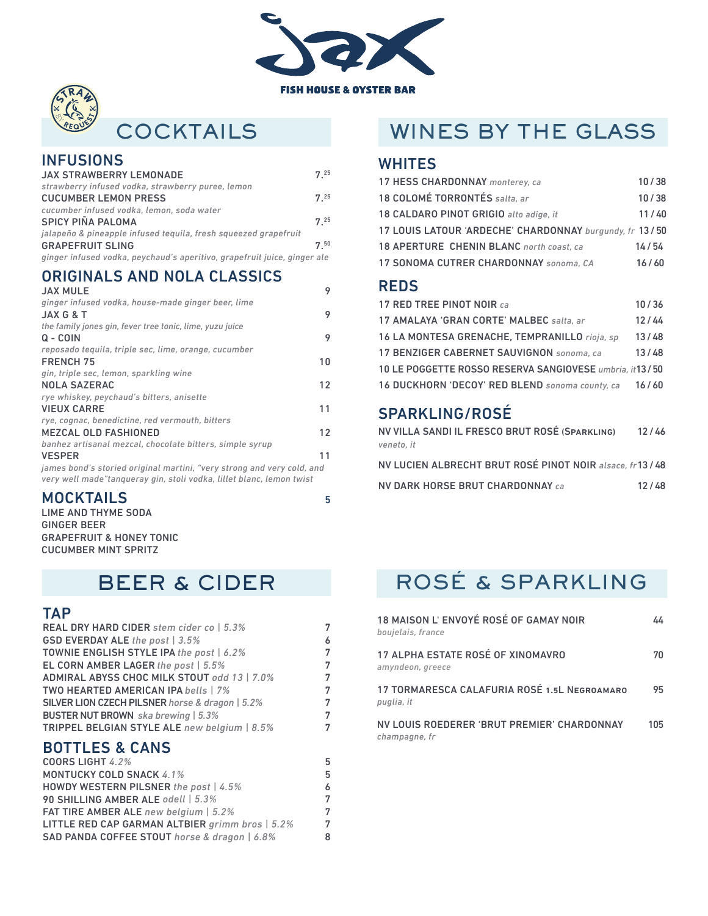



### **COCKTAILS**

#### **INFUSIONS**

| <b>JAX STRAWBERRY LEMONADE</b>                                           | 725      |
|--------------------------------------------------------------------------|----------|
| strawberry infused vodka, strawberry puree, lemon                        |          |
| <b>CUCUMBER LEMON PRESS</b>                                              | $7^{25}$ |
| cucumber infused vodka, lemon, soda water                                |          |
| <b>SPICY PIÑA PALOMA</b>                                                 | $7^{25}$ |
| jalapeño & pineapple infused teguila, fresh squeezed grapefruit          |          |
| <b>GRAPEFRUIT SLING</b>                                                  | 750      |
| ginger infused vodka, peychaud's aperitivo, grapefruit juice, ginger ale |          |
|                                                                          |          |

#### ORIGINALS AND NOLA CLASSICS

| <b>JAX MULE</b>                                                        | 9  |
|------------------------------------------------------------------------|----|
| ginger infused vodka, house-made ginger beer, lime                     |    |
| <b>JAX G &amp; T</b>                                                   | 9  |
| the family jones gin, fever tree tonic, lime, yuzu juice               |    |
| $Q - COIN$                                                             | 9  |
| reposado teguila, triple sec, lime, orange, cucumber                   |    |
| <b>FRENCH 75</b>                                                       | 10 |
| gin, triple sec, lemon, sparkling wine                                 |    |
| <b>NOLA SAZERAC</b>                                                    | 12 |
| rye whiskey, peychaud's bitters, anisette                              |    |
| <b>VIEUX CARRE</b>                                                     | 11 |
| rye, cognac, benedictine, red vermouth, bitters                        |    |
| <b>MEZCAL OLD FASHIONED</b>                                            | 12 |
| banhez artisanal mezcal, chocolate bitters, simple syrup               |    |
| <b>VESPER</b>                                                          | 11 |
| james bond's storied original martini, "very strong and very cold, and |    |
| very well made"tangueray gin, stoli vodka, lillet blanc, lemon twist   |    |

#### MOCKTAILS 5

LIME AND THYME SODA GINGER BEER GRAPEFRUIT & HONEY TONIC CUCUMBER MINT SPRITZ

### BEER & CIDER

#### **TAP**

| <b>REAL DRY HARD CIDER</b> stem cider co   5.3% | 7 |
|-------------------------------------------------|---|
| <b>GSD EVERDAY ALE</b> the post   3.5%          | 6 |
| TOWNIE ENGLISH STYLE IPA the post   6.2%        | 7 |
| EL CORN AMBER LAGER the post   5.5%             | 7 |
| ADMIRAL ABYSS CHOC MILK STOUT odd 13   7.0%     | 7 |
| <b>TWO HEARTED AMERICAN IPA bells   7%</b>      | 7 |
| SILVER LION CZECH PILSNER horse & dragon   5.2% | 7 |
| <b>BUSTER NUT BROWN</b> ska brewing   5.3%      | 7 |
| TRIPPEL BELGIAN STYLE ALE new belgium   8.5%    | 7 |
| <b>BOTTLES &amp; CANS</b>                       |   |
| COORS LIGHT 4.2%                                | 5 |
| <b>MONTUCKY COLD SNACK 4.1%</b>                 | 5 |
| HOWDY WESTERN PILSNER the post   4.5%           | 6 |
| 90 SHILLING AMBER ALE odell   5.3%              | 7 |
| <b>FAT TIRE AMBER ALE</b> new belgium   5.2%    | 7 |

LITTLE RED CAP GARMAN ALTBIER *grimm bros | 5.2%* 7 SAD PANDA COFFEE STOUT horse & dragon | 6.8%

## WINES BY THE GLASS

#### **WHITES**

| 18 COLOMÉ TORRONTÉS salta, ar<br>10/38<br>18 CALDARO PINOT GRIGIO alto adige, it<br>11/40<br>17 LOUIS LATOUR 'ARDECHE' CHARDONNAY burgundy, fr 13/50 |
|------------------------------------------------------------------------------------------------------------------------------------------------------|
|                                                                                                                                                      |
|                                                                                                                                                      |
|                                                                                                                                                      |
| 18 APERTURE CHENIN BLANC north coast, ca<br>14/54                                                                                                    |
| 17 SONOMA CUTRER CHARDONNAY sonoma, CA<br>16/60                                                                                                      |

#### REDS

| 17 RED TREE PINOT NOIR ca                               | 10/36 |
|---------------------------------------------------------|-------|
| 17 AMALAYA 'GRAN CORTE' MALBEC salta, ar                | 12/44 |
| 16 LA MONTESA GRENACHE, TEMPRANILLO rioja, sp.          | 13/48 |
| 17 BENZIGER CABERNET SAUVIGNON sonoma, ca               | 13/48 |
| 10 LE POGGETTE ROSSO RESERVA SANGIOVESE umbria, it13/50 |       |
| 16 DUCKHORN 'DECOY' RED BLEND sonoma county, ca         | 16/60 |

### SPARKLING/ROSÉ

| NV VILLA SANDI IL FRESCO BRUT ROSÉ (SPARKLING)          | 12/46 |
|---------------------------------------------------------|-------|
| veneto, it                                              |       |
| NV LUCIEN ALBRECHT BRUT ROSÉ PINOT NOIR alsace, fr13/48 |       |

| NV DARK HORSE BRUT CHARDONNAY ca | 12/48 |
|----------------------------------|-------|
|----------------------------------|-------|

# ROSÉ & SPARKLING

| 18 MAISON L'ENVOYÉ ROSÉ OF GAMAY NOIR<br>boujelais, france   | 44  |
|--------------------------------------------------------------|-----|
| 17 ALPHA ESTATE ROSÉ OF XINOMAVRO<br>amyndeon, greece        | 70  |
| 17 TORMARESCA CALAFURIA ROSÉ 1.5L NEGROAMARO<br>puglia, it   | 95  |
| NV LOUIS ROEDERER 'BRUT PREMIER' CHARDONNAY<br>champagne, fr | 105 |